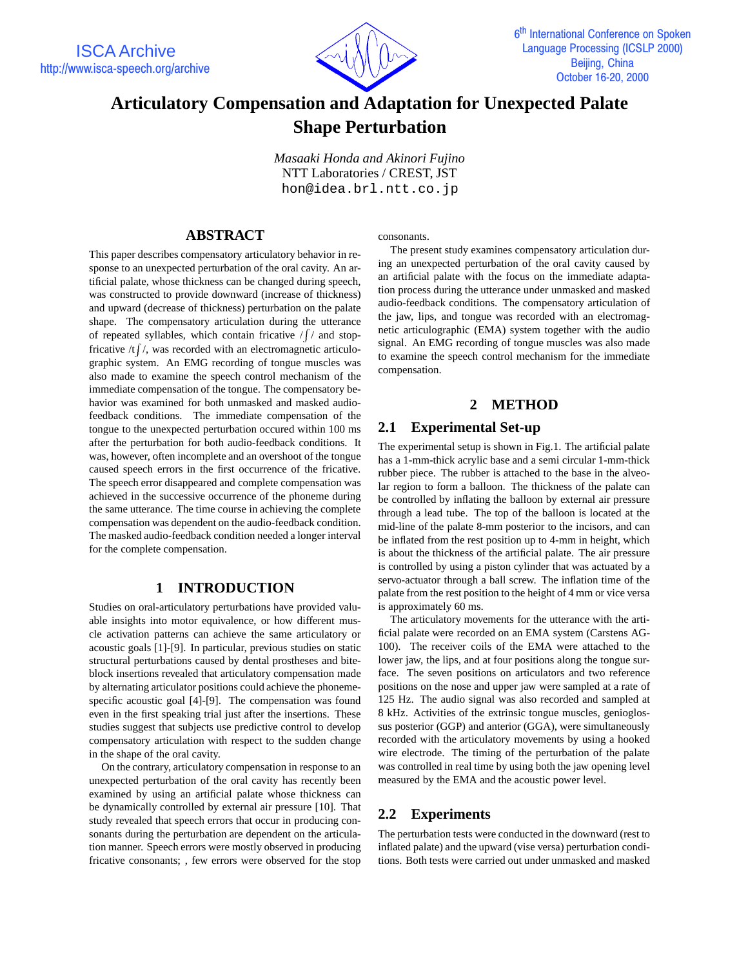

# **Articulatory Compensation and Adaptation for Unexpected Palate Shape Perturbation**

*Masaaki Honda and Akinori Fujino* NTT Laboratories / CREST, JST hon@idea.brl.ntt.co.jp

# **ABSTRACT**

This paper describes compensatory articulatory behavior in response to an unexpected perturbation of the oral cavity. An artificial palate, whose thickness can be changed during speech, was constructed to provide downward (increase of thickness) and upward (decrease of thickness) perturbation on the palate shape. The compensatory articulation during the utterance of repeated syllables, which contain fricative  $\sqrt{\frac{1}{n}}$  and stopfricative /t  $\int$  /, was recorded with an electromagnetic articulographic system. An EMG recording of tongue muscles was also made to examine the speech control mechanism of the immediate compensation of the tongue. The compensatory behavior was examined for both unmasked and masked audiofeedback conditions. The immediate compensation of the tongue to the unexpected perturbation occured within 100 ms after the perturbation for both audio-feedback conditions. It was, however, often incomplete and an overshoot of the tongue caused speech errors in the first occurrence of the fricative. The speech error disappeared and complete compensation was achieved in the successive occurrence of the phoneme during the same utterance. The time course in achieving the complete compensation was dependent on the audio-feedback condition. The masked audio-feedback condition needed a longer interval for the complete compensation.

# **1 INTRODUCTION**

Studies on oral-articulatory perturbations have provided valuable insights into motor equivalence, or how different muscle activation patterns can achieve the same articulatory or acoustic goals [1]-[9]. In particular, previous studies on static structural perturbations caused by dental prostheses and biteblock insertions revealed that articulatory compensation made by alternating articulator positions could achieve the phonemespecific acoustic goal [4]-[9]. The compensation was found even in the first speaking trial just after the insertions. These studies suggest that subjects use predictive control to develop compensatory articulation with respect to the sudden change in the shape of the oral cavity.

On the contrary, articulatory compensation in response to an unexpected perturbation of the oral cavity has recently been examined by using an artificial palate whose thickness can be dynamically controlled by external air pressure [10]. That study revealed that speech errors that occur in producing consonants during the perturbation are dependent on the articulation manner. Speech errors were mostly observed in producing fricative consonants; , few errors were observed for the stop consonants.

The present study examines compensatory articulation during an unexpected perturbation of the oral cavity caused by an artificial palate with the focus on the immediate adaptation process during the utterance under unmasked and masked audio-feedback conditions. The compensatory articulation of the jaw, lips, and tongue was recorded with an electromagnetic articulographic (EMA) system together with the audio signal. An EMG recording of tongue muscles was also made to examine the speech control mechanism for the immediate compensation.

# **2 METHOD**

## **2.1 Experimental Set-up**

The experimental setup is shown in Fig.1. The artificial palate has a 1-mm-thick acrylic base and a semi circular 1-mm-thick rubber piece. The rubber is attached to the base in the alveolar region to form a balloon. The thickness of the palate can be controlled by inflating the balloon by external air pressure through a lead tube. The top of the balloon is located at the mid-line of the palate 8-mm posterior to the incisors, and can be inflated from the rest position up to 4-mm in height, which is about the thickness of the artificial palate. The air pressure is controlled by using a piston cylinder that was actuated by a servo-actuator through a ball screw. The inflation time of the palate from the rest position to the height of 4 mm or vice versa is approximately 60 ms.

The articulatory movements for the utterance with the artificial palate were recorded on an EMA system (Carstens AG-100). The receiver coils of the EMA were attached to the lower jaw, the lips, and at four positions along the tongue surface. The seven positions on articulators and two reference positions on the nose and upper jaw were sampled at a rate of 125 Hz. The audio signal was also recorded and sampled at 8 kHz. Activities of the extrinsic tongue muscles, genioglossus posterior (GGP) and anterior (GGA), were simultaneously recorded with the articulatory movements by using a hooked wire electrode. The timing of the perturbation of the palate was controlled in real time by using both the jaw opening level measured by the EMA and the acoustic power level.

# **2.2 Experiments**

The perturbation tests were conducted in the downward (rest to inflated palate) and the upward (vise versa) perturbation conditions. Both tests were carried out under unmasked and masked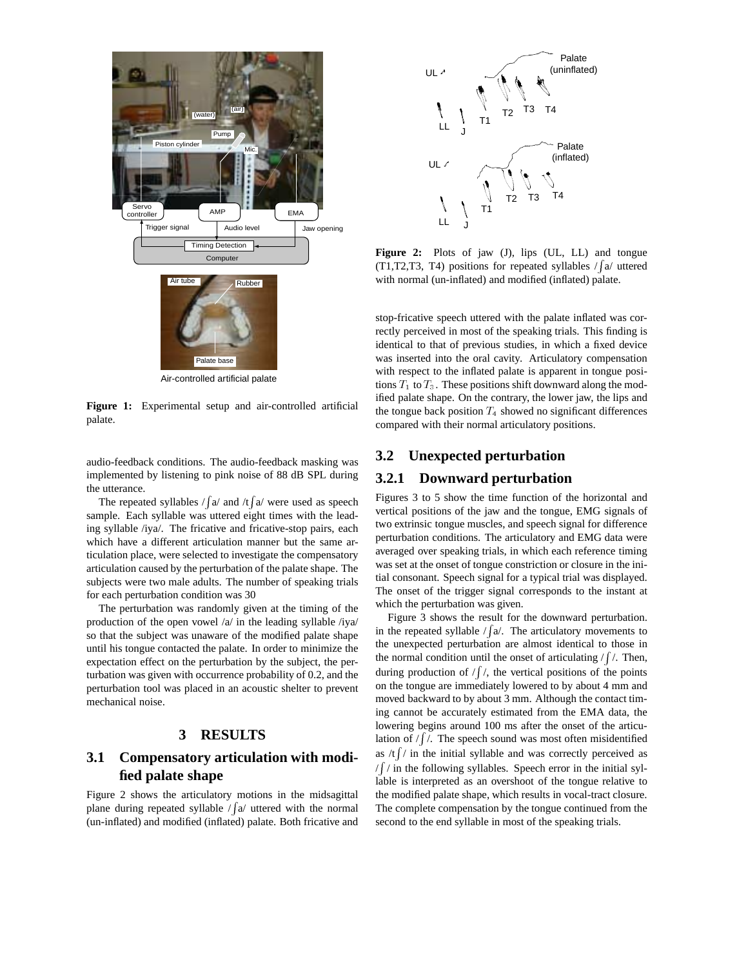

**Figure 1:** Experimental setup and air-controlled artificial palate.

audio-feedback conditions. The audio-feedback masking was implemented by listening to pink noise of 88 dB SPL during the utterance.

The repeated syllables  $\frac{\sqrt{a}}{a}$  and  $\frac{\pi}{a}$  were used as speech sample. Each syllable was uttered eight times with the leading syllable /iya/. The fricative and fricative-stop pairs, each which have a different articulation manner but the same articulation place, were selected to investigate the compensatory articulation caused by the perturbation of the palate shape. The subjects were two male adults. The number of speaking trials for each perturbation condition was 30

The perturbation was randomly given at the timing of the production of the open vowel /a/ in the leading syllable /iya/ so that the subject was unaware of the modified palate shape until his tongue contacted the palate. In order to minimize the expectation effect on the perturbation by the subject, the perturbation was given with occurrence probability of 0.2, and the perturbation tool was placed in an acoustic shelter to prevent mechanical noise.

#### **3 RESULTS**

# **3.1 Compensatory articulation with modified palate shape**

Figure 2 shows the articulatory motions in the midsagittal plane during repeated syllable  $\sqrt{a}$  uttered with the normal (un-inflated) and modified (inflated) palate. Both fricative and



**Figure 2:** Plots of jaw (J), lips (UL, LL) and tongue (T1,T2,T3, T4) positions for repeated syllables  $/\sqrt{a}$  uttered with normal (un-inflated) and modified (inflated) palate.

stop-fricative speech uttered with the palate inflated was correctly perceived in most of the speaking trials. This finding is identical to that of previous studies, in which a fixed device was inserted into the oral cavity. Articulatory compensation with respect to the inflated palate is apparent in tongue positions  $T_1$  to  $T_3$ . These positions shift downward along the modified palate shape. On the contrary, the lower jaw, the lips and the tongue back position  $T_4$  showed no significant differences compared with their normal articulatory positions.

# **3.2 Unexpected perturbation**

## **3.2.1 Downward perturbation**

Figures 3 to 5 show the time function of the horizontal and vertical positions of the jaw and the tongue, EMG signals of two extrinsic tongue muscles, and speech signal for difference perturbation conditions. The articulatory and EMG data were averaged over speaking trials, in which each reference timing was set at the onset of tongue constriction or closure in the initial consonant. Speech signal for a typical trial was displayed. The onset of the trigger signal corresponds to the instant at which the perturbation was given.

Figure 3 shows the result for the downward perturbation. in the repeated syllable  $/\sqrt{a}$ . The articulatory movements to the unexpected perturbation are almost identical to those in the normal condition until the onset of articulating  $/f /$ . Then, during production of  $/f/$ , the vertical positions of the points on the tongue are immediately lowered to by about 4 mm and moved backward to by about 3 mm. Although the contact timing cannot be accurately estimated from the EMA data, the lowering begins around 100 ms after the onset of the articulation of  $/f$ . The speech sound was most often misidentified as  $/t \int / \ln t$  the initial syllable and was correctly perceived as /R / in the following syllables. Speech error in the initial syllable is interpreted as an overshoot of the tongue relative to the modified palate shape, which results in vocal-tract closure. The complete compensation by the tongue continued from the second to the end syllable in most of the speaking trials.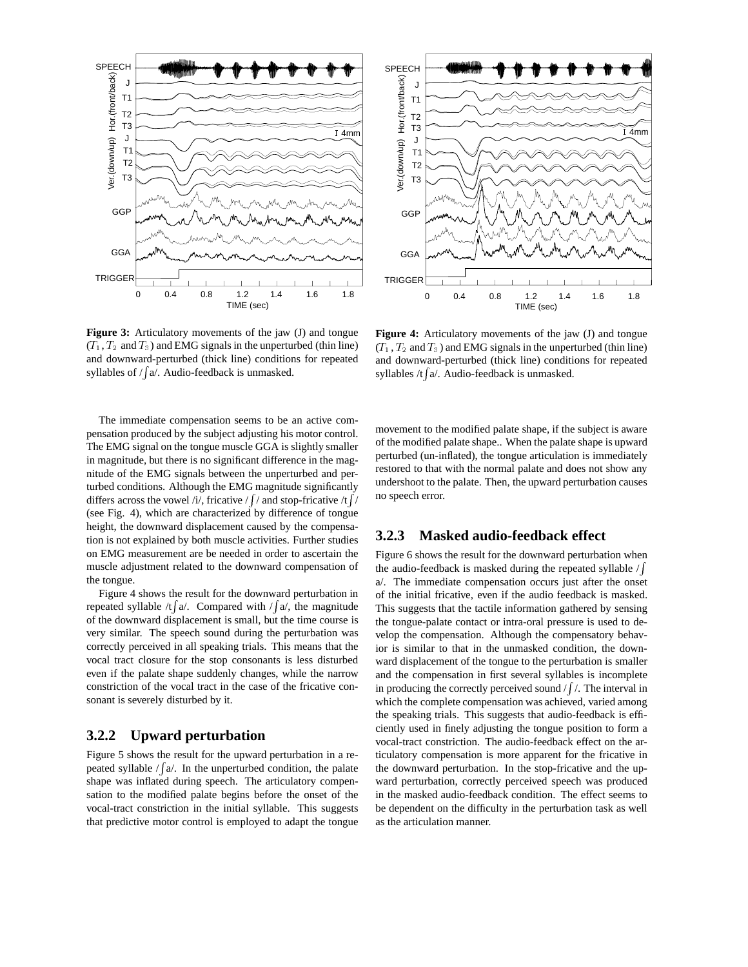

**Figure 3:** Articulatory movements of the jaw (J) and tongue  $(T_1, T_2, T_3)$  and EMG signals in the unperturbed (thin line) and downward-perturbed (thick line) conditions for repeated syllables of  $/$  [a $/$ . Audio-feedback is unmasked.

The immediate compensation seems to be an active compensation produced by the subject adjusting his motor control. The EMG signal on the tongue muscle GGA is slightly smaller in magnitude, but there is no significant difference in the magnitude of the EMG signals between the unperturbed and perturbed conditions. Although the EMG magnitude significantly differs across the vowel /i/, fricative /  $\int$  / and stop-fricative /t  $\int$  / (see Fig. 4), which are characterized by difference of tongue height, the downward displacement caused by the compensation is not explained by both muscle activities. Further studies on EMG measurement are be needed in order to ascertain the muscle adjustment related to the downward compensation of the tongue.

Figure 4 shows the result for the downward perturbation in repeated syllable /t  $\int a$ . Compared with / $\int a$ , the magnitude of the downward displacement is small, but the time course is very similar. The speech sound during the perturbation was correctly perceived in all speaking trials. This means that the vocal tract closure for the stop consonants is less disturbed even if the palate shape suddenly changes, while the narrow constriction of the vocal tract in the case of the fricative consonant is severely disturbed by it.

## **3.2.2 Upward perturbation**

Figure 5 shows the result for the upward perturbation in a repeated syllable  $/\sqrt{a}$ . In the unperturbed condition, the palate shape was inflated during speech. The articulatory compensation to the modified palate begins before the onset of the vocal-tract constriction in the initial syllable. This suggests that predictive motor control is employed to adapt the tongue



**Figure 4:** Articulatory movements of the jaw (J) and tongue  $(T_1, T_2, T_3)$  and EMG signals in the unperturbed (thin line) and downward-perturbed (thick line) conditions for repeated syllables /t  $\int a$ . Audio-feedback is unmasked.

movement to the modified palate shape, if the subject is aware of the modified palate shape.. When the palate shape is upward perturbed (un-inflated), the tongue articulation is immediately restored to that with the normal palate and does not show any undershoot to the palate. Then, the upward perturbation causes no speech error.

## **3.2.3 Masked audio-feedback effect**

Figure 6 shows the result for the downward perturbation when the audio-feedback is masked during the repeated syllable  $\sqrt{\frac{R}{L}}$ a/. The immediate compensation occurs just after the onset of the initial fricative, even if the audio feedback is masked. This suggests that the tactile information gathered by sensing the tongue-palate contact or intra-oral pressure is used to develop the compensation. Although the compensatory behavior is similar to that in the unmasked condition, the downward displacement of the tongue to the perturbation is smaller and the compensation in first several syllables is incomplete in producing the correctly perceived sound  $/ \int /$ . The interval in which the complete compensation was achieved, varied among the speaking trials. This suggests that audio-feedback is efficiently used in finely adjusting the tongue position to form a vocal-tract constriction. The audio-feedback effect on the articulatory compensation is more apparent for the fricative in the downward perturbation. In the stop-fricative and the upward perturbation, correctly perceived speech was produced in the masked audio-feedback condition. The effect seems to be dependent on the difficulty in the perturbation task as well as the articulation manner.